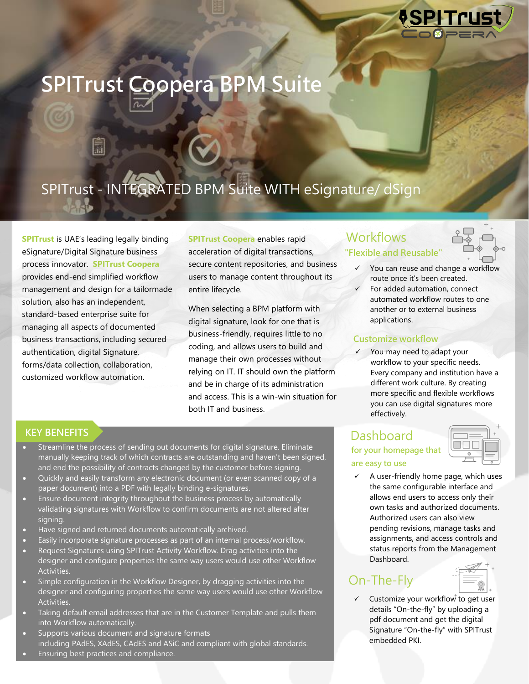

# **SPITrust Coopera BPM Suite SPITrust Coopera BPM Suite**

# SPITrust - INTEGRATED BPM Suite WITH eSignature/ dSign

 $S_{\mathcal{S}}$  is the INTEGRATION of  $\mathcal{S}$ 

**SPITrust** is UAE's leading legally binding eSignature/Digital Signature business process innovator. **SPITrust Coopera** provides end-end simplified workflow management and design for a tailormade solution, also has an independent, standard-based enterprise suite for managing all aspects of documented business transactions, including secured authentication, digital Signature, forms/data collection, collaboration, customized workflow automation.

**SPITrust Coopera** enables rapid acceleration of digital transactions, secure content repositories, and business users to manage content throughout its entire lifecycle.

When selecting a BPM platform with digital signature, look for one that is business-friendly, requires little to no coding, and allows users to build and manage their own processes without relying on IT. IT should own the platform and be in charge of its administration and access. This is a win-win situation for both IT and business.

### **KEY BENEFITS**

- Streamline the process of sending out documents for digital signature. Eliminate manually keeping track of which contracts are outstanding and haven't been signed, and end the possibility of contracts changed by the customer before signing.
- Quickly and easily transform any electronic document (or even scanned copy of a paper document) into a PDF with legally binding e-signatures.
- Ensure document integrity throughout the business process by automatically validating signatures with Workflow to confirm documents are not altered after signing.
- Have signed and returned documents automatically archived.
- Easily incorporate signature processes as part of an internal process/workflow.
- Request Signatures using SPITrust Activity Workflow. Drag activities into the designer and configure properties the same way users would use other Workflow Activities.
- Simple configuration in the Workflow Designer, by dragging activities into the designer and configuring properties the same way users would use other Workflow Activities.
- Taking default email addresses that are in the Customer Template and pulls them into Workflow automatically.
- Supports various document and signature formats including PAdES, [XAdES,](https://ec.europa.eu/digital-building-blocks/wikis/pages/viewpage.action?pageId=403243960) CAdES and ASiC and compliant with global standards.
- Ensuring best practices and compliance.

## **Workflows "Flexible and Reusable"**



- **"flexible and reusable"** ✓ You can reuse and change a workflow route once it's been created.
	- For added automation, connect automated workflow routes to one another or to external business applications.

### **Customize workflow**

✓ You may need to adapt your workflow to your specific needs. Every company and institution have a different work culture. By creating more specific and flexible workflows you can use digital signatures more effectively.

### **Dashboard "flexible and are easy to use for your homepage that**

**reusable"** ✓ A user-friendly home page, which uses the same configurable interface and allows end users to access only their own tasks and authorized documents. Authorized users can also view pending revisions, manage tasks and assignments, and access controls and status reports from the Management Dashboard.

## On-The-Fly

**"flexible and**  details "On-the-fly" by uploading a pdf document and get the digital Customize your workflow to get user Signature "On-the-fly" with SPITrust embedded PKI.